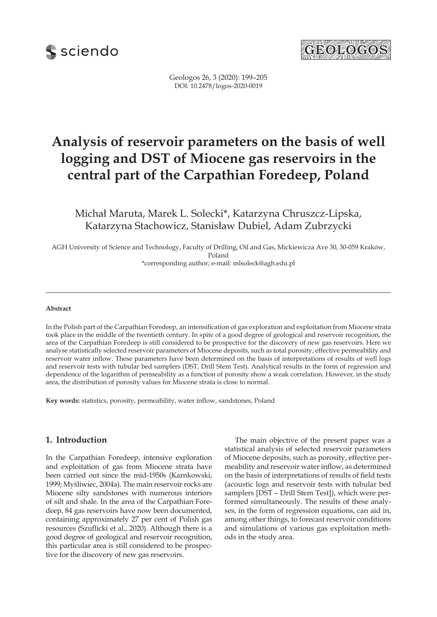



Geologos 26, 3 (2020): 199–205 DOI: 10.2478/logos-2020-0019

# **Analysis of reservoir parameters on the basis of well logging and DST of Miocene gas reservoirs in the central part of the Carpathian Foredeep, Poland**

Michał Maruta, Marek L. Solecki\*, Katarzyna Chruszcz-Lipska, Katarzyna Stachowicz, Stanisław Dubiel, Adam Zubrzycki

AGH University of Science and Technology, Faculty of Drilling, Oil and Gas, Mickiewicza Ave 30, 30-059 Kraków, Poland \*corresponding author; e-mail: mlsoleck@agh.edu.pl

#### **Abstract**

In the Polish part of the Carpathian Foredeep, an intensification of gas exploration and exploitation from Miocene strata took place in the middle of the twentieth century. In spite of a good degree of geological and reservoir recognition, the area of the Carpathian Foredeep is still considered to be prospective for the discovery of new gas reservoirs. Here we analyse statistically selected reservoir parameters of Miocene deposits, such as total porosity, effective permeability and reservoir water inflow. These parameters have been determined on the basis of interpretations of results of well logs and reservoir tests with tubular bed samplers (DST, Drill Stem Test). Analytical results in the form of regression and dependence of the logarithm of permeability as a function of porosity show a weak correlation. However, in the study area, the distribution of porosity values for Miocene strata is close to normal.

**Key words:** statistics, porosity, permeability, water inflow, sandstones, Poland

## **1. Introduction**

In the Carpathian Foredeep, intensive exploration and exploitation of gas from Miocene strata have been carried out since the mid-1950s (Karnkowski, 1999; Myśliwiec, 2004a). The main reservoir rocks are Miocene silty sandstones with numerous interiors of silt and shale. In the area of the Carpathian Foredeep, 84 gas reservoirs have now been documented, containing approximately 27 per cent of Polish gas resources (Szuflicki et al., 2020). Although there is a good degree of geological and reservoir recognition, this particular area is still considered to be prospective for the discovery of new gas reservoirs.

The main objective of the present paper was a statistical analysis of selected reservoir parameters of Miocene deposits, such as porosity, effective permeability and reservoir water inflow, as determined on the basis of interpretations of results of field tests (acoustic logs and reservoir tests with tubular bed samplers [DST – Drill Stem Test]), which were performed simultaneously. The results of these analyses, in the form of regression equations, can aid in, among other things, to forecast reservoir conditions and simulations of various gas exploitation methods in the study area.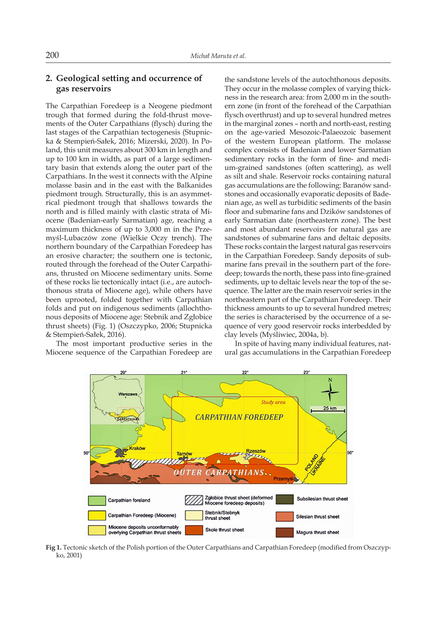# **2. Geological setting and occurrence of gas reservoirs**

The Carpathian Foredeep is a Neogene piedmont trough that formed during the fold-thrust movements of the Outer Carpathians (flysch) during the last stages of the Carpathian tectogenesis (Stupnicka & Stempień-Sałek, 2016; Mizerski, 2020). In Poland, this unit measures about 300 km in length and up to 100 km in width, as part of a large sedimentary basin that extends along the outer part of the Carpathians. In the west it connects with the Alpine molasse basin and in the east with the Balkanides piedmont trough. Structurally, this is an asymmetrical piedmont trough that shallows towards the north and is filled mainly with clastic strata of Miocene (Badenian-early Sarmatian) age, reaching a maximum thickness of up to 3,000 m in the Przemyśl-Lubaczów zone (Wielkie Oczy trench). The northern boundary of the Carpathian Foredeep has an erosive character; the southern one is tectonic, routed through the forehead of the Outer Carpathians, thrusted on Miocene sedimentary units. Some of these rocks lie tectonically intact (i.e., are autochthonous strata of Miocene age), while others have been uprooted, folded together with Carpathian folds and put on indigenous sediments (allochthonous deposits of Miocene age: Stebnik and Zgłobice thrust sheets) (Fig. 1) (Oszczypko, 2006; Stupnicka & Stempień-Sałek, 2016).

The most important productive series in the Miocene sequence of the Carpathian Foredeep are

the sandstone levels of the autochthonous deposits. They occur in the molasse complex of varying thickness in the research area: from 2,000 m in the southern zone (in front of the forehead of the Carpathian flysch overthrust) and up to several hundred metres in the marginal zones – north and north-east, resting on the age-varied Mesozoic-Palaeozoic basement of the western European platform. The molasse complex consists of Badenian and lower Sarmatian sedimentary rocks in the form of fine- and medium-grained sandstones (often scattering), as well as silt and shale. Reservoir rocks containing natural gas accumulations are the following: Baranów sandstones and occasionally evaporatic deposits of Badenian age, as well as turbiditic sediments of the basin floor and submarine fans and Dzików sandstones of early Sarmatian date (northeastern zone). The best and most abundant reservoirs for natural gas are sandstones of submarine fans and deltaic deposits. These rocks contain the largest natural gas reservoirs in the Carpathian Foredeep. Sandy deposits of submarine fans prevail in the southern part of the foredeep; towards the north, these pass into fine-grained sediments, up to deltaic levels near the top of the sequence. The latter are the main reservoir series in the northeastern part of the Carpathian Foredeep. Their thickness amounts to up to several hundred metres; the series is characterised by the occurrence of a sequence of very good reservoir rocks interbedded by clay levels (Myśliwiec, 2004a, b).

In spite of having many individual features, natural gas accumulations in the Carpathian Foredeep



**Fig 1.** Tectonic sketch of the Polish portion of the Outer Carpathians and Carpathian Foredeep (modified from Oszczypko, 2001)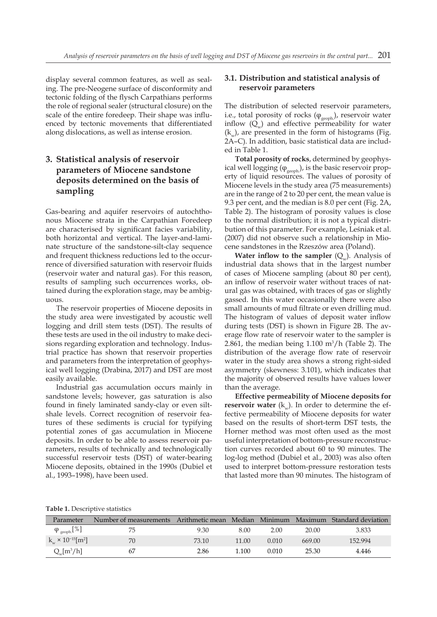display several common features, as well as sealing. The pre-Neogene surface of disconformity and tectonic folding of the flysch Carpathians performs the role of regional sealer (structural closure) on the scale of the entire foredeep. Their shape was influenced by tectonic movements that differentiated along dislocations, as well as intense erosion.

# **3. Statistical analysis of reservoir parameters of Miocene sandstone deposits determined on the basis of sampling**

Gas-bearing and aquifer reservoirs of autochthonous Miocene strata in the Carpathian Foredeep are characterised by significant facies variability, both horizontal and vertical. The layer-and-laminate structure of the sandstone-silt-clay sequence and frequent thickness reductions led to the occurrence of diversified saturation with reservoir fluids (reservoir water and natural gas). For this reason, results of sampling such occurrences works, obtained during the exploration stage, may be ambiguous.

The reservoir properties of Miocene deposits in the study area were investigated by acoustic well logging and drill stem tests (DST). The results of these tests are used in the oil industry to make decisions regarding exploration and technology. Industrial practice has shown that reservoir properties and parameters from the interpretation of geophysical well logging (Drabina, 2017) and DST are most easily available.

Industrial gas accumulation occurs mainly in sandstone levels; however, gas saturation is also found in finely laminated sandy-clay or even siltshale levels. Correct recognition of reservoir features of these sediments is crucial for typifying potential zones of gas accumulation in Miocene deposits. In order to be able to assess reservoir parameters, results of technically and technologically successful reservoir tests (DST) of water-bearing Miocene deposits, obtained in the 1990s (Dubiel et al., 1993–1998), have been used.

## **3.1. Distribution and statistical analysis of reservoir parameters**

The distribution of selected reservoir parameters, i.e., total porosity of rocks  $(\varphi_{\text{geoph}})$ , reservoir water inflow  $(Q_w)$  and effective permeability for water  $(k_{\ldots})$ , are presented in the form of histograms (Fig. 2A–C). In addition, basic statistical data are included in Table 1.

**Total porosity of rocks**, determined by geophysical well logging  $(\varphi_{\text{geoph}})$ , is the basic reservoir property of liquid resources. The values of porosity of Miocene levels in the study area (75 measurements) are in the range of 2 to 20 per cent, the mean value is 9.3 per cent, and the median is 8.0 per cent (Fig. 2A, Table 2). The histogram of porosity values is close to the normal distribution; it is not a typical distribution of this parameter. For example, Leśniak et al. (2007) did not observe such a relationship in Miocene sandstones in the Rzeszów area (Poland).

**Water inflow to the sampler**  $(Q_{\mu})$ . Analysis of industrial data shows that in the largest number of cases of Miocene sampling (about 80 per cent), an inflow of reservoir water without traces of natural gas was obtained, with traces of gas or slightly gassed. In this water occasionally there were also small amounts of mud filtrate or even drilling mud. The histogram of values of deposit water inflow during tests (DST) is shown in Figure 2B. The average flow rate of reservoir water to the sampler is 2.861, the median being  $1.100 \text{ m}^3/\text{h}$  (Table 2). The distribution of the average flow rate of reservoir water in the study area shows a strong right-sided asymmetry (skewness: 3.101), which indicates that the majority of observed results have values lower than the average.

**Effective permeability of Miocene deposits for reservoir water**  $(k_{\ldots})$ . In order to determine the effective permeability of Miocene deposits for water based on the results of short-term DST tests, the Horner method was most often used as the most useful interpretation of bottom-pressure reconstruction curves recorded about 60 to 90 minutes. The log-log method (Dubiel et al., 2003) was also often used to interpret bottom-pressure restoration tests that lasted more than 90 minutes. The histogram of

**Table 1.** Descriptive statistics

| Parameter                       | Number of measurements Arithmetic mean Median Minimum |       |       |       |        | Maximum Standard deviation |
|---------------------------------|-------------------------------------------------------|-------|-------|-------|--------|----------------------------|
| $\varphi_{\text{geoph}}[\%]$    | 75                                                    | 9.30  | 8.00  | 2.00  | 20.00  | 3.833                      |
| $k_{w} \times 10^{-15} [m^{2}]$ | 70                                                    | 73.10 | 11.00 | 0.010 | 669.00 | 152.994                    |
| $Q_w[m^3/h]$                    | 67                                                    | 2.86  | 1.100 | 0.010 | 25.30  | 4.446                      |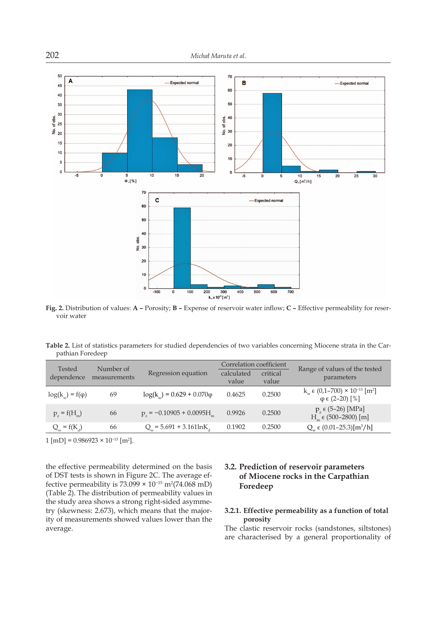

**Fig. 2.** Distribution of values: **A –** Porosity; **B –** Expense of reservoir water inflow; **C –** Effective permeability for reservoir water

**Table 2.** List of statistics parameters for studied dependencies of two variables concerning Miocene strata in the Carpathian Foredeep

| Tested<br>dependence    | Number of<br>measurements | Regression equation               | Correlation coefficient<br>calculated<br>value | critical<br>value | Range of values of the tested<br>parameters                                       |
|-------------------------|---------------------------|-----------------------------------|------------------------------------------------|-------------------|-----------------------------------------------------------------------------------|
| $log(k_w) = f(\varphi)$ | 69                        | $log(k_w) = 0.629 + 0.070\varphi$ | 0.4625                                         | 0.2500            | $k_w \in (0.1-700) \times 10^{-15}$ [m <sup>2</sup> ]<br>$\varphi \in (2-20)$ [%] |
| $p_{7} = f(H_{m})$      | 66                        | $p_{1} = -0.10905 + 0.0095H_{1}$  | 0.9926                                         | 0.2500            | $p_{7} \in (5-26)$ [MPa]<br>$Hm$ $\in$ (500–2800) [m]                             |
| $Q_w = f(K_d)$          | 66                        | $Q_{u}$ = 5.691 + 3.161lnK        | 0.1902                                         | 0.2500            | $Q_w \in (0.01-25.3)[m^3/h]$                                                      |

 $1 \text{ [mD]} = 0.986923 \times 10^{-15} \text{ [m}^2\text{].}$ 

the effective permeability determined on the basis of DST tests is shown in Figure 2C. The average effective permeability is  $73.099 \times 10^{-15}$  m<sup>2</sup> $(74.068$  mD) (Table 2). The distribution of permeability values in the study area shows a strong right-sided asymmetry (skewness: 2.673), which means that the majority of measurements showed values lower than the average.

# **3.2. Prediction of reservoir parameters of Miocene rocks in the Carpathian Foredeep**

## **3.2.1. Effective permeability as a function of total porosity**

The clastic reservoir rocks (sandstones, siltstones) are characterised by a general proportionality of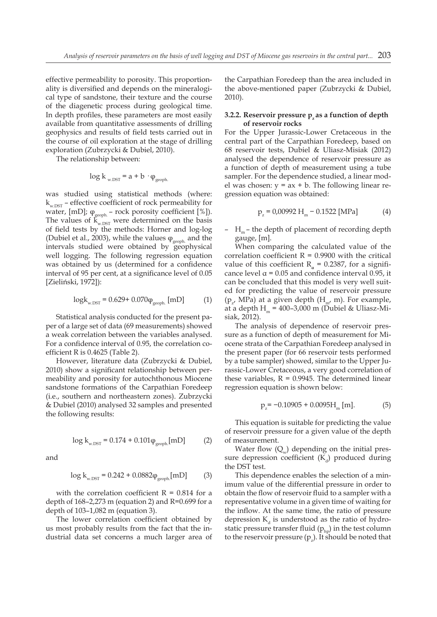effective permeability to porosity. This proportionality is diversified and depends on the mineralogical type of sandstone, their texture and the course of the diagenetic process during geological time. In depth profiles, these parameters are most easily available from quantitative assessments of drilling geophysics and results of field tests carried out in the course of oil exploration at the stage of drilling exploration (Zubrzycki & Dubiel, 2010).

The relationship between:

$$
\log k_{\text{w.DST}} = a + b \cdot \varphi_{\text{geoph.}}
$$

was studied using statistical methods (where:  $k_{w,\text{DST}}$  – effective coefficient of rock permeability for water, [mD];  $\varphi_{\text{geoph.}}$  – rock porosity coefficient [%]). The values of  $\hat{k}_{w,\text{DST}}$  were determined on the basis of field tests by the methods: Horner and log-log (Dubiel et al., 2003), while the values  $\varphi_{\text{geoph.}}$  and the intervals studied were obtained by geophysical well logging. The following regression equation was obtained by us (determined for a confidence interval of 95 per cent, at a significance level of 0.05 [Zieliński, 1972]):

$$
\log k_{\text{w.DST}} = 0.629 + 0.070 \varphi_{\text{geoph.}} \text{[mD]} \tag{1}
$$

Statistical analysis conducted for the present paper of a large set of data (69 measurements) showed a weak correlation between the variables analysed. For a confidence interval of 0.95, the correlation coefficient R is 0.4625 (Table 2).

However, literature data (Zubrzycki & Dubiel, 2010) show a significant relationship between permeability and porosity for autochthonous Miocene sandstone formations of the Carpathian Foredeep (i.e., southern and northeastern zones). Zubrzycki & Dubiel (2010) analysed 32 samples and presented the following results:

 $\log k_{\text{w.DST}} = 0.174 + 0.101 \varphi_{\text{geoph}}[\text{mD}]$  (2)

and

$$
\log k_{\text{w.DST}} = 0.242 + 0.0882 \varphi_{\text{geoph}}[\text{mD}] \tag{3}
$$

with the correlation coefficient  $R = 0.814$  for a depth of  $168-2,273$  m (equation 2) and  $R=0.699$  for a depth of 103–1,082 m (equation 3).

The lower correlation coefficient obtained by us most probably results from the fact that the industrial data set concerns a much larger area of

the Carpathian Foredeep than the area included in the above-mentioned paper (Zubrzycki & Dubiel, 2010).

#### **3.2.2.** Reservoir pressure  $p_a$  as a function of depth **of reservoir rocks**

For the Upper Jurassic-Lower Cretaceous in the central part of the Carpathian Foredeep, based on 68 reservoir tests, Dubiel & Uliasz-Misiak (2012) analysed the dependence of reservoir pressure as a function of depth of measurement using a tube sampler. For the dependence studied, a linear model was chosen:  $y = ax + b$ . The following linear regression equation was obtained:

$$
p_z = 0.00992 H_m - 0.1522 [MPa]
$$
 (4)

–  $H_m$  – the depth of placement of recording depth gauge, [m].

When comparing the calculated value of the correlation coefficient  $R = 0.9900$  with the critical value of this coefficient  $R_{\alpha} = 0.2387$ , for a significance level  $\alpha$  = 0.05 and confidence interval 0.95, it can be concluded that this model is very well suited for predicting the value of reservoir pressure ( $p_{z'}$  MPa) at a given depth ( $H_{m'}$  m). For example, at a depth  $H_m = 400-3,000$  m (Dubiel & Uliasz-Misiak, 2012).

The analysis of dependence of reservoir pressure as a function of depth of measurement for Miocene strata of the Carpathian Foredeep analysed in the present paper (for 66 reservoir tests performed by a tube sampler) showed, similar to the Upper Jurassic-Lower Cretaceous, a very good correlation of these variables,  $R = 0.9945$ . The determined linear regression equation is shown below:

$$
p_z = -0.10905 + 0.0095H_m [m]. \tag{5}
$$

This equation is suitable for predicting the value of reservoir pressure for a given value of the depth of measurement.

Water flow  $(Q_{\omega})$  depending on the initial pressure depression coefficient  $(K_d)$  produced during the DST test.

This dependence enables the selection of a minimum value of the differential pressure in order to obtain the flow of reservoir fluid to a sampler with a representative volume in a given time of waiting for the inflow. At the same time, the ratio of pressure depression  $K_a$  is understood as the ratio of hydrostatic pressure transfer fluid  $(p_{\text{hn}})$  in the test column to the reservoir pressure  $(p_z)$ . It should be noted that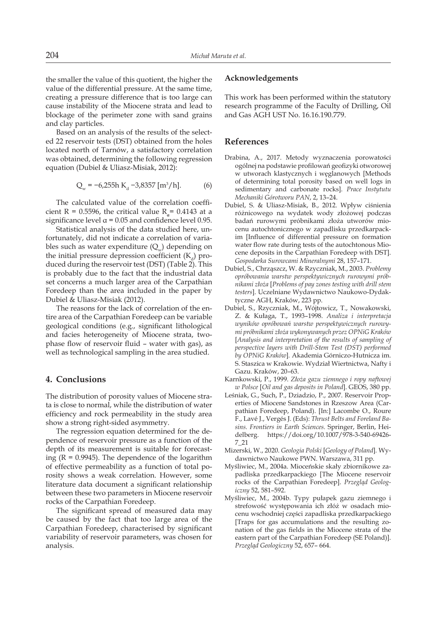the smaller the value of this quotient, the higher the value of the differential pressure. At the same time, creating a pressure difference that is too large can cause instability of the Miocene strata and lead to blockage of the perimeter zone with sand grains and clay particles.

Based on an analysis of the results of the selected 22 reservoir tests (DST) obtained from the holes located north of Tarnów, a satisfactory correlation was obtained, determining the following regression equation (Dubiel & Uliasz-Misiak, 2012):

$$
Q_w = -6.255h K_d - 3.8357 [m^3/h].
$$
 (6)

The calculated value of the correlation coefficient R = 0.5596, the critical value  $R_a$  = 0.4143 at a significance level  $\alpha$  = 0.05 and confidence level 0.95.

Statistical analysis of the data studied here, unfortunately, did not indicate a correlation of variables such as water expenditure  $(Q_w)$  depending on the initial pressure depression coefficient  $(K_{a})$  produced during the reservoir test (DST) (Table 2). This is probably due to the fact that the industrial data set concerns a much larger area of the Carpathian Foredeep than the area included in the paper by Dubiel & Uliasz-Misiak (2012).

The reasons for the lack of correlation of the entire area of the Carpathian Foredeep can be variable geological conditions (e.g., significant lithological and facies heterogeneity of Miocene strata, twophase flow of reservoir fluid – water with gas), as well as technological sampling in the area studied.

## **4. Conclusions**

The distribution of porosity values of Miocene strata is close to normal, while the distribution of water efficiency and rock permeability in the study area show a strong right-sided asymmetry.

The regression equation determined for the dependence of reservoir pressure as a function of the depth of its measurement is suitable for forecasting  $(R = 0.9945)$ . The dependence of the logarithm of effective permeability as a function of total porosity shows a weak correlation. However, some literature data document a significant relationship between these two parameters in Miocene reservoir rocks of the Carpathian Foredeep.

The significant spread of measured data may be caused by the fact that too large area of the Carpathian Foredeep, characterised by significant variability of reservoir parameters, was chosen for analysis.

#### **Acknowledgements**

This work has been performed within the statutory research programme of the Faculty of Drilling, Oil and Gas AGH UST No. 16.16.190.779.

### **References**

- Drabina, A., 2017. Metody wyznaczenia porowatości ogólnej na podstawie profilowań geofizyki otworowej w utworach klastycznych i węglanowych [Methods of determining total porosity based on well logs in sedimentary and carbonate rocks]. *Prace Instytutu Mechaniki Górotworu PAN*, 2, 13–24.
- Dubiel, S. & Uliasz-Misiak, B., 2012. Wpływ ciśnienia różnicowego na wydatek wody złożowej podczas badań rurowymi próbnikami złoża utworów miocenu autochtonicznego w zapadlisku przedkarpackim [Influence of differential pressure on formation water flow rate during tests of the autochtonous Miocene deposits in the Carpathian Foredeep with DST]. *Gospodarka Surowcami Mineralnymi* 28, 157–171.
- Dubiel, S., Chrząszcz, W. & Rzyczniak, M., 2003. *Problemy opróbowania warstw perspektywicznych rurowymi próbnikami złoża* [*Problems of pay zones testing with drill stem testers*]. Uczelniane Wydawnictwo Naukowo-Dydaktyczne AGH, Kraków, 223 pp.
- Dubiel, S., Rzyczniak, M., Wójtowicz, T., Nowakowski, Z. & Kułaga, T., 1993–1998. *Analiza i interpretacja wyników opróbowań warstw perspektywicznych rurowymi próbnikami złoża wykonywanych przez OPNiG Kraków* [*Analysis and interpretation of the results of sampling of perspective layers with Drill-Stem Test (DST) performed by OPNiG Kraków*]*.* Akademia Górniczo-Hutnicza im. S. Staszica w Krakowie. Wydział Wiertnictwa, Nafty i Gazu. Kraków, 20–63.
- Karnkowski, P., 1999. *Złoża gazu ziemnego i ropy naftowej w Polsce* [*Oil and gas deposits in Poland*]. GEOS, 380 pp.
- Leśniak, G., Such, P., Dziadzio, P., 2007. Reservoir Properties of Miocene Sandstones in Rzeszow Area (Carpathian Foredeep, Poland). [In:] Lacombe O., Roure F., Lavé J., Vergés J. (Eds): *Thrust Belts and Foreland Basins. Frontiers in Earth Sciences.* Springer, Berlin, Heidelberg. https://doi.org/10.1007/978-3-540-69426- 7\_21
- Mizerski, W., 2020. *Geologia Polski* [*Geology of Poland*]*.* Wydawnictwo Naukowe PWN. Warszawa, 311 pp.
- Myśliwiec, M., 2004a. Mioceńskie skały zbiornikowe zapadliska przedkarpackiego [The Miocene reservoir rocks of the Carpathian Foredeep]. *Przegląd Geologiczny* 52, 581–592.
- Myśliwiec, M., 2004b. Typy pułapek gazu ziemnego i strefowość występowania ich złóż w osadach miocenu wschodniej części zapadliska przedkarpackiego [Traps for gas accumulations and the resulting zonation of the gas fields in the Miocene strata of the eastern part of the Carpathian Foredeep (SE Poland)]. *Przegląd Geologiczny* 52, 657– 664.